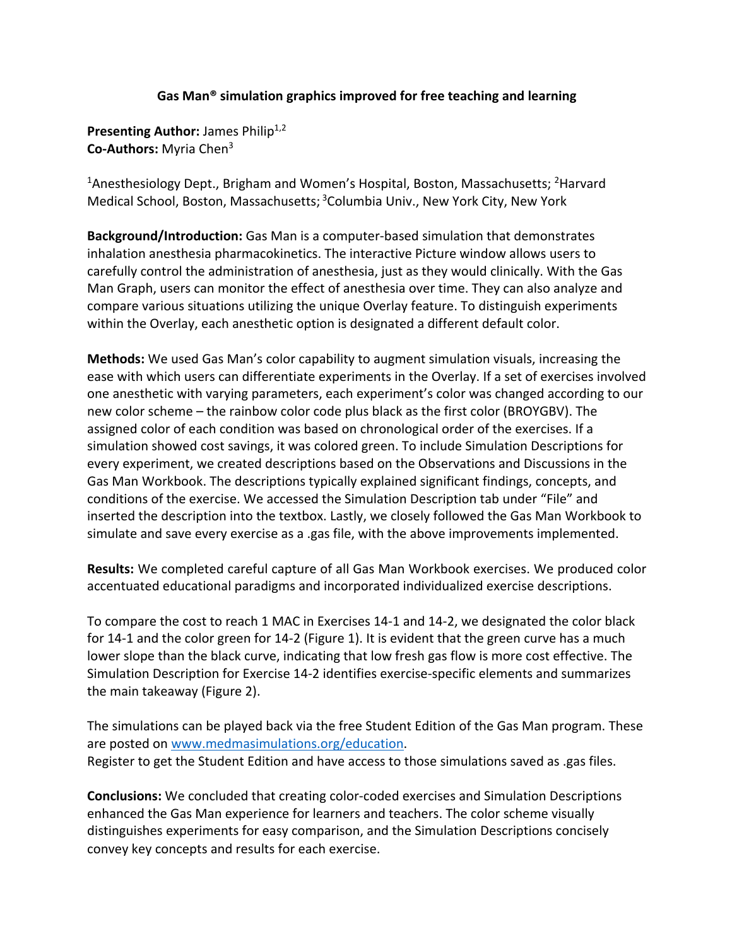## **Gas Man® simulation graphics improved for free teaching and learning**

**Presenting Author: James Philip<sup>1,2</sup> Co-Authors:** Myria Chen3

<sup>1</sup>Anesthesiology Dept., Brigham and Women's Hospital, Boston, Massachusetts; <sup>2</sup>Harvard Medical School, Boston, Massachusetts; <sup>3</sup>Columbia Univ., New York City, New York

**Background/Introduction:** Gas Man is a computer-based simulation that demonstrates inhalation anesthesia pharmacokinetics. The interactive Picture window allows users to carefully control the administration of anesthesia, just as they would clinically. With the Gas Man Graph, users can monitor the effect of anesthesia over time. They can also analyze and compare various situations utilizing the unique Overlay feature. To distinguish experiments within the Overlay, each anesthetic option is designated a different default color.

**Methods:** We used Gas Man's color capability to augment simulation visuals, increasing the ease with which users can differentiate experiments in the Overlay. If a set of exercises involved one anesthetic with varying parameters, each experiment's color was changed according to our new color scheme – the rainbow color code plus black as the first color (BROYGBV). The assigned color of each condition was based on chronological order of the exercises. If a simulation showed cost savings, it was colored green. To include Simulation Descriptions for every experiment, we created descriptions based on the Observations and Discussions in the Gas Man Workbook. The descriptions typically explained significant findings, concepts, and conditions of the exercise. We accessed the Simulation Description tab under "File" and inserted the description into the textbox. Lastly, we closely followed the Gas Man Workbook to simulate and save every exercise as a .gas file, with the above improvements implemented.

**Results:** We completed careful capture of all Gas Man Workbook exercises. We produced color accentuated educational paradigms and incorporated individualized exercise descriptions.

To compare the cost to reach 1 MAC in Exercises 14-1 and 14-2, we designated the color black for 14-1 and the color green for 14-2 (Figure 1). It is evident that the green curve has a much lower slope than the black curve, indicating that low fresh gas flow is more cost effective. The Simulation Description for Exercise 14-2 identifies exercise-specific elements and summarizes the main takeaway (Figure 2).

The simulations can be played back via the free Student Edition of the Gas Man program. These are posted on www.medmasimulations.org/education. Register to get the Student Edition and have access to those simulations saved as .gas files.

**Conclusions:** We concluded that creating color-coded exercises and Simulation Descriptions enhanced the Gas Man experience for learners and teachers. The color scheme visually distinguishes experiments for easy comparison, and the Simulation Descriptions concisely convey key concepts and results for each exercise.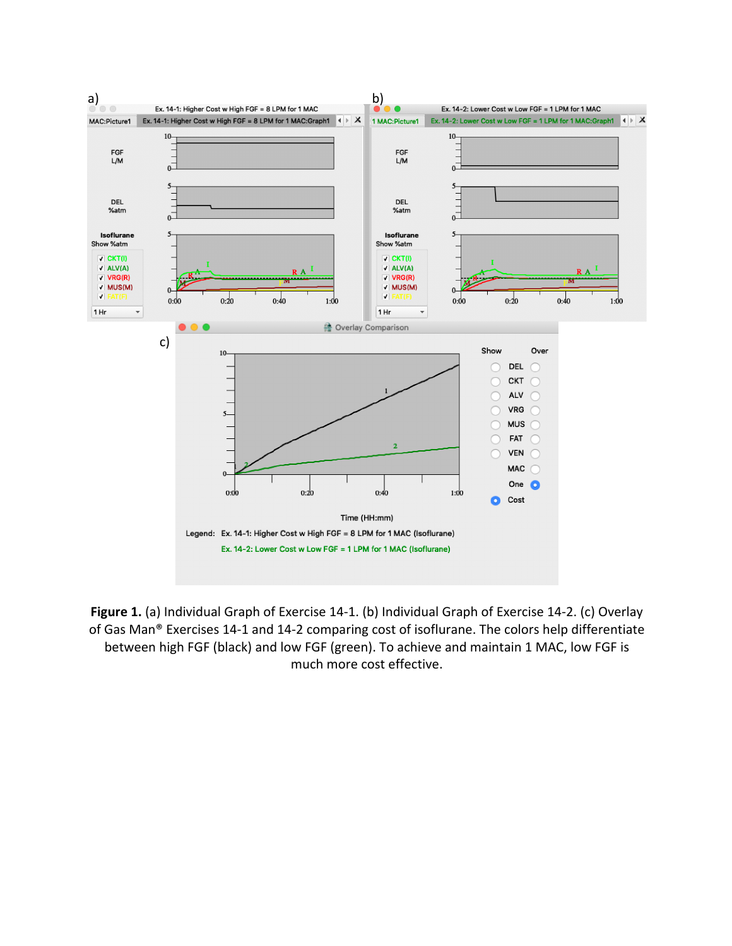

**Figure 1.** (a) Individual Graph of Exercise 14-1. (b) Individual Graph of Exercise 14-2. (c) Overlay of Gas Man® Exercises 14-1 and 14-2 comparing cost of isoflurane. The colors help differentiate between high FGF (black) and low FGF (green). To achieve and maintain 1 MAC, low FGF is much more cost effective.